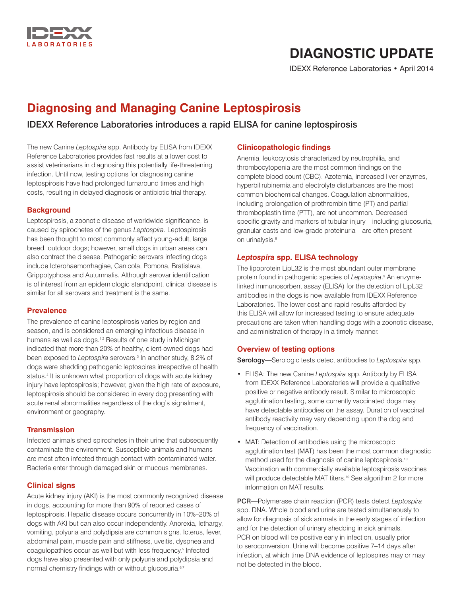

# **DIAGNOSTIC UPDATE**

IDEXX Reference Laboratories • April 2014

# **Diagnosing and Managing Canine Leptospirosis**

# IDEXX Reference Laboratories introduces a rapid ELISA for canine leptospirosis

The new Canine *Leptospira* spp. Antibody by ELISA from IDEXX Reference Laboratories provides fast results at a lower cost to assist veterinarians in diagnosing this potentially life-threatening infection. Until now, testing options for diagnosing canine leptospirosis have had prolonged turnaround times and high costs, resulting in delayed diagnosis or antibiotic trial therapy.

#### **Background**

Leptospirosis, a zoonotic disease of worldwide significance, is caused by spirochetes of the genus *Leptospira*. Leptospirosis has been thought to most commonly affect young-adult, large breed, outdoor dogs; however, small dogs in urban areas can also contract the disease. Pathogenic serovars infecting dogs include Icterohaemorrhagiae, Canicola, Pomona, Bratislava, Grippotyphosa and Autumnalis. Although serovar identification is of interest from an epidemiologic standpoint, clinical disease is similar for all serovars and treatment is the same.

#### **Prevalence**

The prevalence of canine leptospirosis varies by region and season, and is considered an emerging infectious disease in humans as well as dogs.<sup>1,2</sup> Results of one study in Michigan indicated that more than 20% of healthy, client-owned dogs had been exposed to *Leptospira* serovars.3 In another study, 8.2% of dogs were shedding pathogenic leptospires irrespective of health status.<sup>4</sup> It is unknown what proportion of dogs with acute kidney injury have leptospirosis; however, given the high rate of exposure, leptospirosis should be considered in every dog presenting with acute renal abnormalities regardless of the dog's signalment, environment or geography.

#### **Transmission**

Infected animals shed spirochetes in their urine that subsequently contaminate the environment. Susceptible animals and humans are most often infected through contact with contaminated water. Bacteria enter through damaged skin or mucous membranes.

#### **Clinical signs**

Acute kidney injury (AKI) is the most commonly recognized disease in dogs, accounting for more than 90% of reported cases of leptospirosis. Hepatic disease occurs concurrently in 10%–20% of dogs with AKI but can also occur independently. Anorexia, lethargy, vomiting, polyuria and polydipsia are common signs. Icterus, fever, abdominal pain, muscle pain and stiffness, uveitis, dyspnea and coagulopathies occur as well but with less frequency.<sup>5</sup> Infected dogs have also presented with only polyuria and polydipsia and normal chemistry findings with or without glucosuria.<sup>6,7</sup>

### **Clinicopathologic findings**

Anemia, leukocytosis characterized by neutrophilia, and thrombocytopenia are the most common findings on the complete blood count (CBC). Azotemia, increased liver enzymes, hyperbilirubinemia and electrolyte disturbances are the most common biochemical changes. Coagulation abnormalities, including prolongation of prothrombin time (PT) and partial thromboplastin time (PTT), are not uncommon. Decreased specific gravity and markers of tubular injury—including glucosuria, granular casts and low-grade proteinuria—are often present on urinalysis.<sup>8</sup>

#### *Leptospira* **spp. ELISA technology**

The lipoprotein LipL32 is the most abundant outer membrane protein found in pathogenic species of *Leptospira*. 9 An enzymelinked immunosorbent assay (ELISA) for the detection of LipL32 antibodies in the dogs is now available from IDEXX Reference Laboratories. The lower cost and rapid results afforded by this ELISA will allow for increased testing to ensure adequate precautions are taken when handling dogs with a zoonotic disease, and administration of therapy in a timely manner.

#### **Overview of testing options**

Serology—Serologic tests detect antibodies to *Leptospira* spp.

- ELISA: The new Canine *Leptospira* spp. Antibody by ELISA from IDEXX Reference Laboratories will provide a qualitative positive or negative antibody result. Similar to microscopic agglutination testing, some currently vaccinated dogs may have detectable antibodies on the assay. Duration of vaccinal antibody reactivity may vary depending upon the dog and frequency of vaccination.
- MAT: Detection of antibodies using the microscopic agglutination test (MAT) has been the most common diagnostic method used for the diagnosis of canine leptospirosis.<sup>10</sup> Vaccination with commercially available leptospirosis vaccines will produce detectable MAT titers.<sup>10</sup> See algorithm 2 for more information on MAT results.

PCR—Polymerase chain reaction (PCR) tests detect *Leptospira* spp. DNA. Whole blood and urine are tested simultaneously to allow for diagnosis of sick animals in the early stages of infection and for the detection of urinary shedding in sick animals. PCR on blood will be positive early in infection, usually prior to seroconversion. Urine will become positive 7–14 days after infection, at which time DNA evidence of leptospires may or may not be detected in the blood.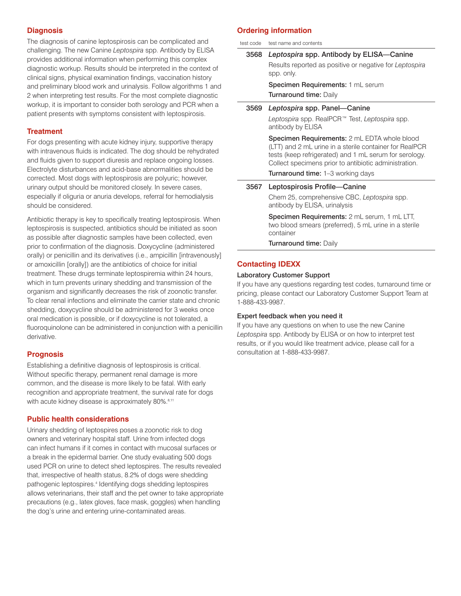#### **Diagnosis**

The diagnosis of canine leptospirosis can be complicated and challenging. The new Canine *Leptospira* spp. Antibody by ELISA provides additional information when performing this complex diagnostic workup. Results should be interpreted in the context of clinical signs, physical examination findings, vaccination history and preliminary blood work and urinalysis. Follow algorithms 1 and 2 when interpreting test results. For the most complete diagnostic workup, it is important to consider both serology and PCR when a patient presents with symptoms consistent with leptospirosis.

#### **Treatment**

For dogs presenting with acute kidney injury, supportive therapy with intravenous fluids is indicated. The dog should be rehydrated and fluids given to support diuresis and replace ongoing losses. Electrolyte disturbances and acid-base abnormalities should be corrected. Most dogs with leptospirosis are polyuric; however, urinary output should be monitored closely. In severe cases, especially if oliguria or anuria develops, referral for hemodialysis should be considered.

Antibiotic therapy is key to specifically treating leptospirosis. When leptospirosis is suspected, antibiotics should be initiated as soon as possible after diagnostic samples have been collected, even prior to confirmation of the diagnosis. Doxycycline (administered orally) or penicillin and its derivatives (i.e., ampicillin [intravenously] or amoxicillin [orally]) are the antibiotics of choice for initial treatment. These drugs terminate leptospiremia within 24 hours, which in turn prevents urinary shedding and transmission of the organism and significantly decreases the risk of zoonotic transfer. To clear renal infections and eliminate the carrier state and chronic shedding, doxycycline should be administered for 3 weeks once oral medication is possible, or if doxycycline is not tolerated, a fluoroquinolone can be administered in conjunction with a penicillin derivative.

#### **Prognosis**

Establishing a definitive diagnosis of leptospirosis is critical. Without specific therapy, permanent renal damage is more common, and the disease is more likely to be fatal. With early recognition and appropriate treatment, the survival rate for dogs with acute kidney disease is approximately 80%.<sup>8,11</sup>

#### **Public health considerations**

Urinary shedding of leptospires poses a zoonotic risk to dog owners and veterinary hospital staff. Urine from infected dogs can infect humans if it comes in contact with mucosal surfaces or a break in the epidermal barrier. One study evaluating 500 dogs used PCR on urine to detect shed leptospires. The results revealed that, irrespective of health status, 8.2% of dogs were shedding pathogenic leptospires.<sup>4</sup> Identifying dogs shedding leptospires allows veterinarians, their staff and the pet owner to take appropriate precautions (e.g., latex gloves, face mask, goggles) when handling the dog's urine and entering urine-contaminated areas.

#### **Ordering information**

test code test name and contents

| 3568 | Leptospira spp. Antibody by ELISA-Canine                                                                                                                                                                                          |
|------|-----------------------------------------------------------------------------------------------------------------------------------------------------------------------------------------------------------------------------------|
|      | Results reported as positive or negative for Leptospira<br>spp. only.                                                                                                                                                             |
|      | <b>Specimen Requirements: 1 mL serum</b>                                                                                                                                                                                          |
|      | <b>Turnaround time: Daily</b>                                                                                                                                                                                                     |
| 3569 | Leptospira spp. Panel-Canine                                                                                                                                                                                                      |
|      | Leptospira spp. RealPCR™ Test, Leptospira spp.<br>antibody by ELISA                                                                                                                                                               |
|      | <b>Specimen Requirements:</b> 2 mL EDTA whole blood<br>(LTT) and 2 mL urine in a sterile container for RealPCR<br>tests (keep refrigerated) and 1 mL serum for serology.<br>Collect specimens prior to antibiotic administration. |
|      | <b>Turnaround time: 1–3 working days</b>                                                                                                                                                                                          |
| 3567 | Leptospirosis Profile-Canine                                                                                                                                                                                                      |
|      | Chem 25, comprehensive CBC, Leptospira spp.<br>antibody by ELISA, urinalysis                                                                                                                                                      |
|      | Specimen Requirements: 2 mL cerum 1 mL LTT                                                                                                                                                                                        |

Specimen Requirements: 2 mL serum, 1 mL LH, two blood smears (preferred), 5 mL urine in a sterile container

Turnaround time: Daily

#### **Contacting IDEXX**

#### Laboratory Customer Support

If you have any questions regarding test codes, turnaround time or pricing, please contact our Laboratory Customer Support Team at 1-888-433-9987.

#### Expert feedback when you need it

If you have any questions on when to use the new Canine *Leptospira* spp. Antibody by ELISA or on how to interpret test results, or if you would like treatment advice, please call for a consultation at 1-888-433-9987.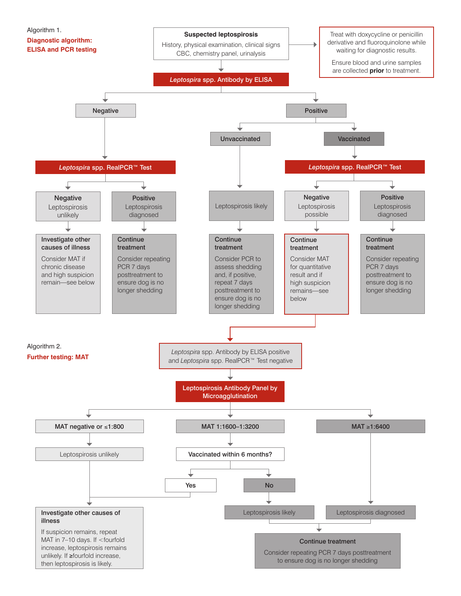